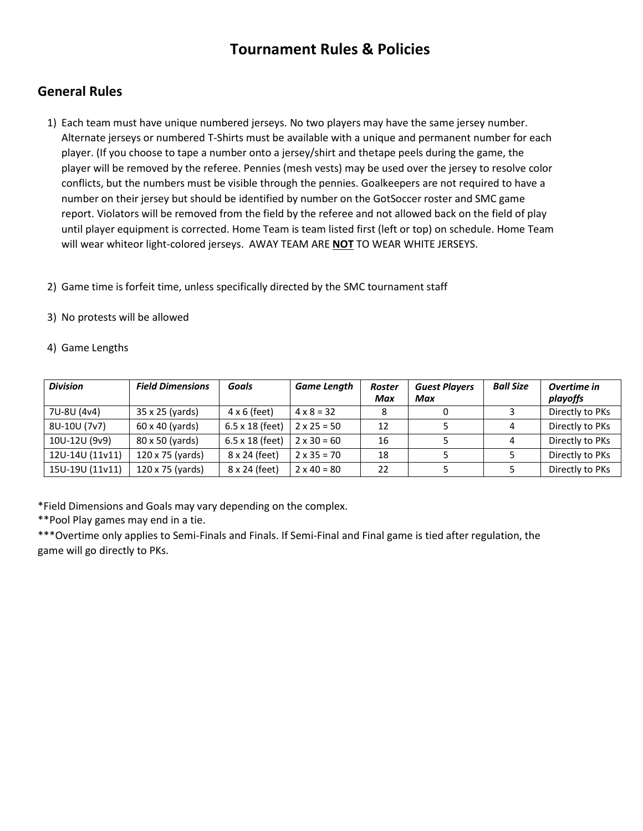# **Tournament Rules & Policies**

# **General Rules**

1) Each team must have unique numbered jerseys. No two players may have the same jersey number. Alternate jerseys or numbered T-Shirts must be available with a unique and permanent number for each player. (If you choose to tape a number onto a jersey/shirt and thetape peels during the game, the player will be removed by the referee. Pennies (mesh vests) may be used over the jersey to resolve color conflicts, but the numbers must be visible through the pennies. Goalkeepers are not required to have a number on their jersey but should be identified by number on the GotSoccer roster and SMC game report. Violators will be removed from the field by the referee and not allowed back on the field of play until player equipment is corrected. Home Team is team listed first (left or top) on schedule. Home Team will wear whiteor light-colored jerseys. AWAY TEAM ARE **NOT** TO WEAR WHITE JERSEYS.

2) Game time is forfeit time, unless specifically directed by the SMC tournament staff

### 3) No protests will be allowed

#### 4) Game Lengths

| <b>Division</b> | <b>Field Dimensions</b> | Goals                  | <b>Game Length</b> | <b>Roster</b><br>Max | <b>Guest Players</b><br>Max | <b>Ball Size</b> | Overtime in<br>playoffs |
|-----------------|-------------------------|------------------------|--------------------|----------------------|-----------------------------|------------------|-------------------------|
| 7U-8U (4v4)     | 35 x 25 (yards)         | $4 \times 6$ (feet)    | $4 \times 8 = 32$  |                      |                             |                  | Directly to PKs         |
| 8U-10U (7v7)    | 60 x 40 (yards)         | $6.5 \times 18$ (feet) | $2 \times 25 = 50$ | 12                   |                             | 4                | Directly to PKs         |
| 10U-12U (9v9)   | 80 x 50 (yards)         | $6.5 \times 18$ (feet) | $2 \times 30 = 60$ | 16                   |                             | 4                | Directly to PKs         |
| 12U-14U (11v11) | 120 x 75 (yards)        | 8 x 24 (feet)          | $2 \times 35 = 70$ | 18                   |                             |                  | Directly to PKs         |
| 15U-19U (11v11) | 120 x 75 (yards)        | 8 x 24 (feet)          | $2 \times 40 = 80$ | 22                   |                             |                  | Directly to PKs         |

\*Field Dimensions and Goals may vary depending on the complex.

\*\*Pool Play games may end in a tie.

\*\*\*Overtime only applies to Semi-Finals and Finals. If Semi-Final and Final game is tied after regulation, the game will go directly to PKs.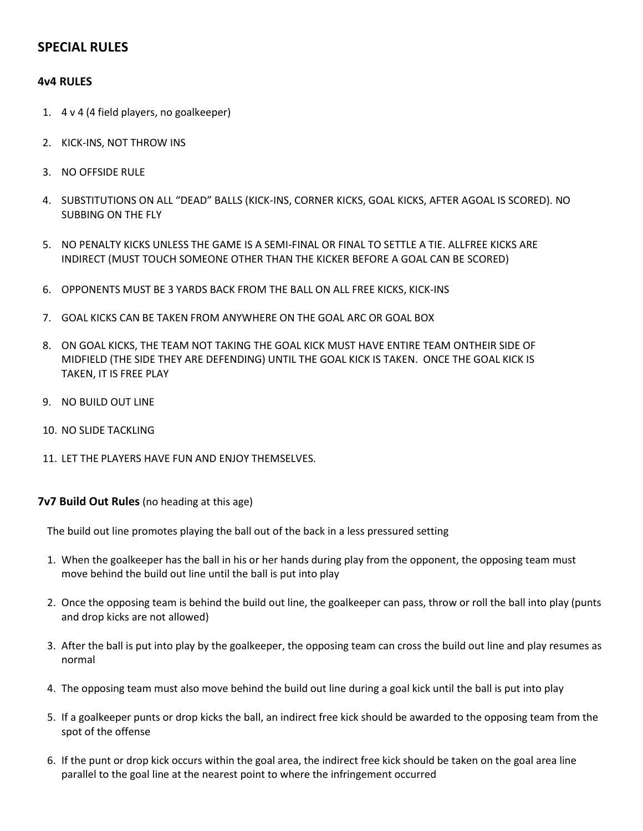# **SPECIAL RULES**

### **4v4 RULES**

- 1. 4 v 4 (4 field players, no goalkeeper)
- 2. KICK-INS, NOT THROW INS
- 3. NO OFFSIDE RULE
- 4. SUBSTITUTIONS ON ALL "DEAD" BALLS (KICK-INS, CORNER KICKS, GOAL KICKS, AFTER AGOAL IS SCORED). NO SUBBING ON THE FLY
- 5. NO PENALTY KICKS UNLESS THE GAME IS A SEMI-FINAL OR FINAL TO SETTLE A TIE. ALLFREE KICKS ARE INDIRECT (MUST TOUCH SOMEONE OTHER THAN THE KICKER BEFORE A GOAL CAN BE SCORED)
- 6. OPPONENTS MUST BE 3 YARDS BACK FROM THE BALL ON ALL FREE KICKS, KICK-INS
- 7. GOAL KICKS CAN BE TAKEN FROM ANYWHERE ON THE GOAL ARC OR GOAL BOX
- 8. ON GOAL KICKS, THE TEAM NOT TAKING THE GOAL KICK MUST HAVE ENTIRE TEAM ONTHEIR SIDE OF MIDFIELD (THE SIDE THEY ARE DEFENDING) UNTIL THE GOAL KICK IS TAKEN. ONCE THE GOAL KICK IS TAKEN, IT IS FREE PLAY
- 9. NO BUILD OUT LINE
- 10. NO SLIDE TACKLING
- 11. LET THE PLAYERS HAVE FUN AND ENJOY THEMSELVES.

**7v7 Build Out Rules** (no heading at this age)

The build out line promotes playing the ball out of the back in a less pressured setting

- 1. When the goalkeeper has the ball in his or her hands during play from the opponent, the opposing team must move behind the build out line until the ball is put into play
- 2. Once the opposing team is behind the build out line, the goalkeeper can pass, throw or roll the ball into play (punts and drop kicks are not allowed)
- 3. After the ball is put into play by the goalkeeper, the opposing team can cross the build out line and play resumes as normal
- 4. The opposing team must also move behind the build out line during a goal kick until the ball is put into play
- 5. If a goalkeeper punts or drop kicks the ball, an indirect free kick should be awarded to the opposing team from the spot of the offense
- 6. If the punt or drop kick occurs within the goal area, the indirect free kick should be taken on the goal area line parallel to the goal line at the nearest point to where the infringement occurred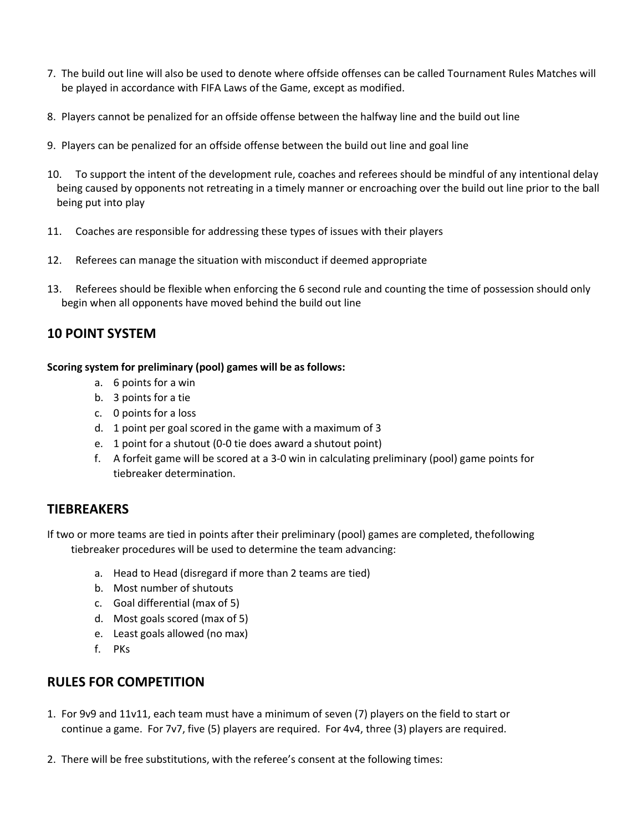- 7. The build out line will also be used to denote where offside offenses can be called Tournament Rules Matches will be played in accordance with FIFA Laws of the Game, except as modified.
- 8. Players cannot be penalized for an offside offense between the halfway line and the build out line
- 9. Players can be penalized for an offside offense between the build out line and goal line
- 10. To support the intent of the development rule, coaches and referees should be mindful of any intentional delay being caused by opponents not retreating in a timely manner or encroaching over the build out line prior to the ball being put into play
- 11. Coaches are responsible for addressing these types of issues with their players
- 12. Referees can manage the situation with misconduct if deemed appropriate
- 13. Referees should be flexible when enforcing the 6 second rule and counting the time of possession should only begin when all opponents have moved behind the build out line

### **10 POINT SYSTEM**

### **Scoring system for preliminary (pool) games will be as follows:**

- a. 6 points for a win
- b. 3 points for a tie
- c. 0 points for a loss
- d. 1 point per goal scored in the game with a maximum of 3
- e. 1 point for a shutout (0-0 tie does award a shutout point)
- f. A forfeit game will be scored at a 3-0 win in calculating preliminary (pool) game points for tiebreaker determination.

# **TIEBREAKERS**

If two or more teams are tied in points after their preliminary (pool) games are completed, the following tiebreaker procedures will be used to determine the team advancing:

- a. Head to Head (disregard if more than 2 teams are tied)
- b. Most number of shutouts
- c. Goal differential (max of 5)
- d. Most goals scored (max of 5)
- e. Least goals allowed (no max)
- f. PKs

# **RULES FOR COMPETITION**

- 1. For 9v9 and 11v11, each team must have a minimum of seven (7) players on the field to start or continue a game. For 7v7, five (5) players are required. For 4v4, three (3) players are required.
- 2. There will be free substitutions, with the referee's consent at the following times: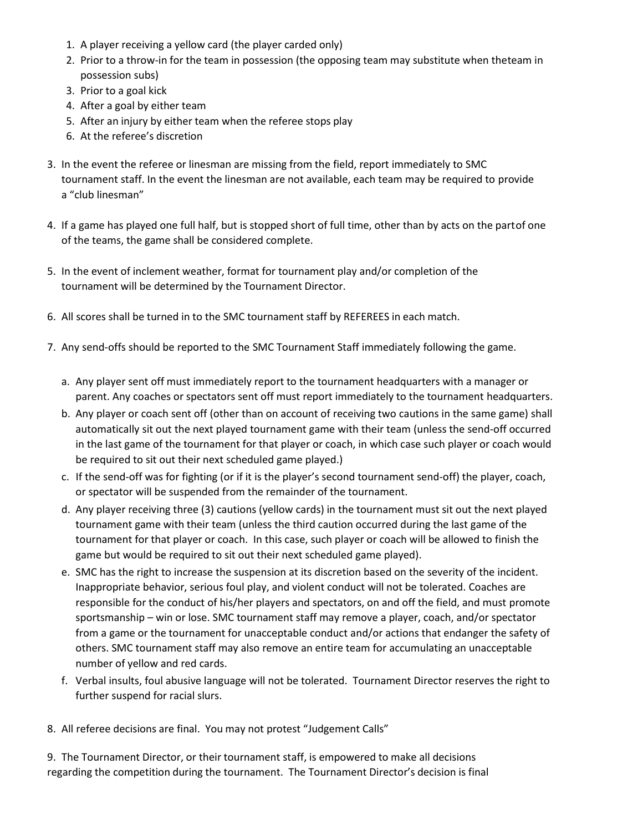- 1. A player receiving a yellow card (the player carded only)
- 2. Prior to a throw-in for the team in possession (the opposing team may substitute when theteam in possession subs)
- 3. Prior to a goal kick
- 4. After a goal by either team
- 5. After an injury by either team when the referee stops play
- 6. At the referee's discretion
- 3. In the event the referee or linesman are missing from the field, report immediately to SMC tournament staff. In the event the linesman are not available, each team may be required to provide a "club linesman"
- 4. If a game has played one full half, but is stopped short of full time, other than by acts on the part of one of the teams, the game shall be considered complete.
- 5. In the event of inclement weather, format for tournament play and/or completion of the tournament will be determined by the Tournament Director.
- 6. All scores shall be turned in to the SMC tournament staff by REFEREES in each match.
- 7. Any send-offs should be reported to the SMC Tournament Staff immediately following the game.
	- a. Any player sent off must immediately report to the tournament headquarters with a manager or parent. Any coaches or spectators sent off must report immediately to the tournament headquarters.
	- b. Any player or coach sent off (other than on account of receiving two cautions in the same game) shall automatically sit out the next played tournament game with their team (unless the send-off occurred in the last game of the tournament for that player or coach, in which case such player or coach would be required to sit out their next scheduled game played.)
	- c. If the send-off was for fighting (or if it is the player's second tournament send-off) the player, coach, or spectator will be suspended from the remainder of the tournament.
	- d. Any player receiving three (3) cautions (yellow cards) in the tournament must sit out the next played tournament game with their team (unless the third caution occurred during the last game of the tournament for that player or coach. In this case, such player or coach will be allowed to finish the game but would be required to sit out their next scheduled game played).
	- e. SMC has the right to increase the suspension at its discretion based on the severity of the incident. Inappropriate behavior, serious foul play, and violent conduct will not be tolerated. Coaches are responsible for the conduct of his/her players and spectators, on and off the field, and must promote sportsmanship – win or lose. SMC tournament staff may remove a player, coach, and/or spectator from a game or the tournament for unacceptable conduct and/or actions that endanger the safety of others. SMC tournament staff may also remove an entire team for accumulating an unacceptable number of yellow and red cards.
	- f. Verbal insults, foul abusive language will not be tolerated. Tournament Director reserves the right to further suspend for racial slurs.
- 8. All referee decisions are final. You may not protest "Judgement Calls"
- 9. The Tournament Director, or their tournament staff, is empowered to make all decisions regarding the competition during the tournament. The Tournament Director's decision is final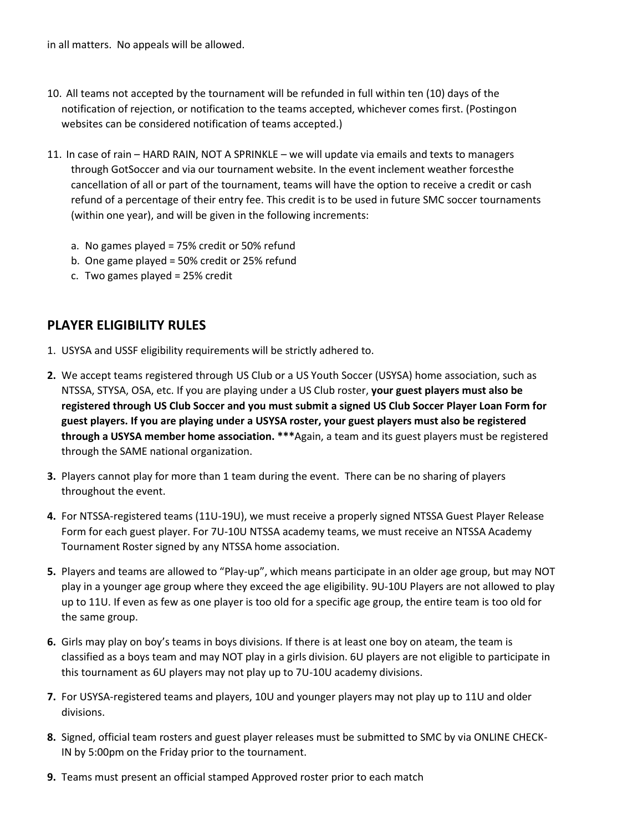in all matters. No appeals will be allowed.

- 10. All teams not accepted by the tournament will be refunded in full within ten (10) days of the notification of rejection, or notification to the teams accepted, whichever comes first. (Postingon websites can be considered notification of teams accepted.)
- 11. In case of rain HARD RAIN, NOT A SPRINKLE we will update via emails and texts to managers through GotSoccer and via our tournament website. In the event inclement weather forcesthe cancellation of all or part of the tournament, teams will have the option to receive a credit or cash refund of a percentage of their entry fee. This credit is to be used in future SMC soccer tournaments (within one year), and will be given in the following increments:
	- a. No games played = 75% credit or 50% refund
	- b. One game played = 50% credit or 25% refund
	- c. Two games played = 25% credit

# **PLAYER ELIGIBILITY RULES**

- 1. USYSA and USSF eligibility requirements will be strictly adhered to.
- **2.** We accept teams registered through US Club or a US Youth Soccer (USYSA) home association, such as NTSSA, STYSA, OSA, etc. If you are playing under a US Club roster, **your guest players must also be registered through US Club Soccer and you must submit a signed US Club Soccer Player Loan Form for guest players. If you are playing under a USYSA roster, your guest players must also be registered through a USYSA member home association. \*\*\***Again, a team and its guest players must be registered through the SAME national organization.
- **3.** Players cannot play for more than 1 team during the event. There can be no sharing of players throughout the event.
- **4.** For NTSSA-registered teams (11U-19U), we must receive a properly signed NTSSA Guest Player Release Form for each guest player. For 7U-10U NTSSA academy teams, we must receive an NTSSA Academy Tournament Roster signed by any NTSSA home association.
- **5.** Players and teams are allowed to "Play-up", which means participate in an older age group, but may NOT play in a younger age group where they exceed the age eligibility. 9U-10U Players are not allowed to play up to 11U. If even as few as one player is too old for a specific age group, the entire team is too old for the same group.
- **6.** Girls may play on boy's teams in boys divisions. If there is at least one boy on ateam, the team is classified as a boys team and may NOT play in a girls division. 6U players are not eligible to participate in this tournament as 6U players may not play up to 7U-10U academy divisions.
- **7.** For USYSA-registered teams and players, 10U and younger players may not play up to 11U and older divisions.
- **8.** Signed, official team rosters and guest player releases must be submitted to SMC by via ONLINE CHECK-IN by 5:00pm on the Friday prior to the tournament.
- **9.** Teams must present an official stamped Approved roster prior to each match